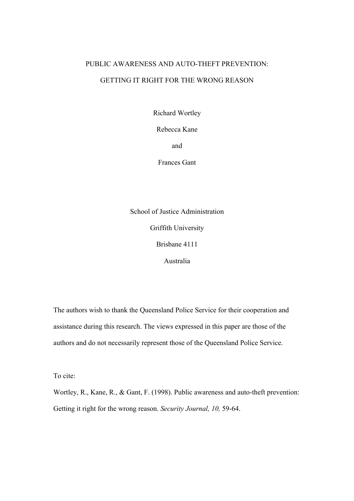# PUBLIC AWARENESS AND AUTO-THEFT PREVENTION: GETTING IT RIGHT FOR THE WRONG REASON

Richard Wortley

Rebecca Kane

and

Frances Gant

School of Justice Administration Griffith University Brisbane 4111 Australia

The authors wish to thank the Queensland Police Service for their cooperation and assistance during this research. The views expressed in this paper are those of the authors and do not necessarily represent those of the Queensland Police Service.

To cite:

Wortley, R., Kane, R., & Gant, F. (1998). Public awareness and auto-theft prevention: Getting it right for the wrong reason. *Security Journal, 10,* 59-64.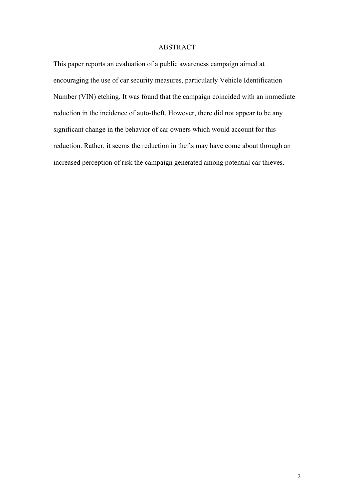# ABSTRACT

This paper reports an evaluation of a public awareness campaign aimed at encouraging the use of car security measures, particularly Vehicle Identification Number (VIN) etching. It was found that the campaign coincided with an immediate reduction in the incidence of auto-theft. However, there did not appear to be any significant change in the behavior of car owners which would account for this reduction. Rather, it seems the reduction in thefts may have come about through an increased perception of risk the campaign generated among potential car thieves.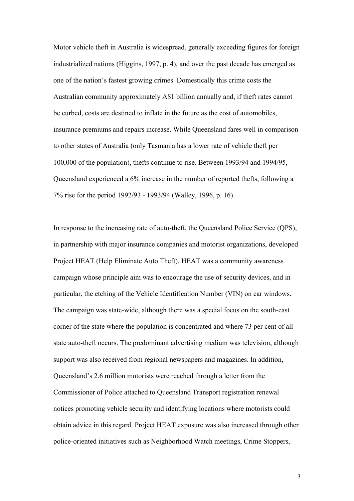Motor vehicle theft in Australia is widespread, generally exceeding figures for foreign industrialized nations (Higgins, 1997, p. 4), and over the past decade has emerged as one of the nation's fastest growing crimes. Domestically this crime costs the Australian community approximately A\$1 billion annually and, if theft rates cannot be curbed, costs are destined to inflate in the future as the cost of automobiles, insurance premiums and repairs increase. While Queensland fares well in comparison to other states of Australia (only Tasmania has a lower rate of vehicle theft per 100,000 of the population), thefts continue to rise. Between 1993/94 and 1994/95, Queensland experienced a 6% increase in the number of reported thefts, following a 7% rise for the period 1992/93 - 1993/94 (Walley, 1996, p. 16).

In response to the increasing rate of auto-theft, the Queensland Police Service (QPS), in partnership with major insurance companies and motorist organizations, developed Project HEAT (Help Eliminate Auto Theft). HEAT was a community awareness campaign whose principle aim was to encourage the use of security devices, and in particular, the etching of the Vehicle Identification Number (VIN) on car windows. The campaign was state-wide, although there was a special focus on the south-east corner of the state where the population is concentrated and where 73 per cent of all state auto-theft occurs. The predominant advertising medium was television, although support was also received from regional newspapers and magazines. In addition, Queensland's 2.6 million motorists were reached through a letter from the Commissioner of Police attached to Queensland Transport registration renewal notices promoting vehicle security and identifying locations where motorists could obtain advice in this regard. Project HEAT exposure was also increased through other police-oriented initiatives such as Neighborhood Watch meetings, Crime Stoppers,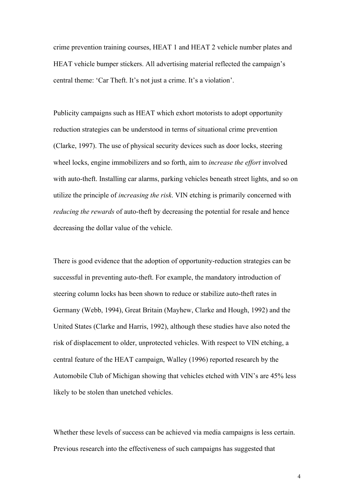crime prevention training courses, HEAT 1 and HEAT 2 vehicle number plates and HEAT vehicle bumper stickers. All advertising material reflected the campaign's central theme: 'Car Theft. It's not just a crime. It's a violation'.

Publicity campaigns such as HEAT which exhort motorists to adopt opportunity reduction strategies can be understood in terms of situational crime prevention (Clarke, 1997). The use of physical security devices such as door locks, steering wheel locks, engine immobilizers and so forth, aim to *increase the effort* involved with auto-theft. Installing car alarms, parking vehicles beneath street lights, and so on utilize the principle of *increasing the risk*. VIN etching is primarily concerned with *reducing the rewards* of auto-theft by decreasing the potential for resale and hence decreasing the dollar value of the vehicle.

There is good evidence that the adoption of opportunity-reduction strategies can be successful in preventing auto-theft. For example, the mandatory introduction of steering column locks has been shown to reduce or stabilize auto-theft rates in Germany (Webb, 1994), Great Britain (Mayhew, Clarke and Hough, 1992) and the United States (Clarke and Harris, 1992), although these studies have also noted the risk of displacement to older, unprotected vehicles. With respect to VIN etching, a central feature of the HEAT campaign, Walley (1996) reported research by the Automobile Club of Michigan showing that vehicles etched with VIN's are 45% less likely to be stolen than unetched vehicles.

Whether these levels of success can be achieved via media campaigns is less certain. Previous research into the effectiveness of such campaigns has suggested that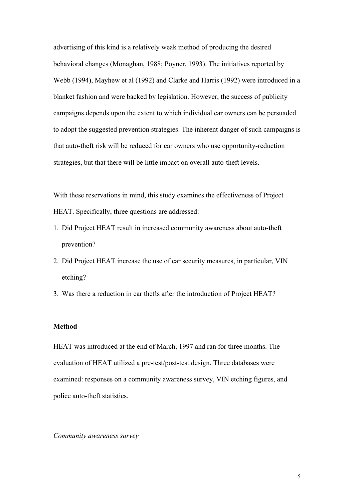advertising of this kind is a relatively weak method of producing the desired behavioral changes (Monaghan, 1988; Poyner, 1993). The initiatives reported by Webb (1994), Mayhew et al (1992) and Clarke and Harris (1992) were introduced in a blanket fashion and were backed by legislation. However, the success of publicity campaigns depends upon the extent to which individual car owners can be persuaded to adopt the suggested prevention strategies. The inherent danger of such campaigns is that auto-theft risk will be reduced for car owners who use opportunity-reduction strategies, but that there will be little impact on overall auto-theft levels.

With these reservations in mind, this study examines the effectiveness of Project HEAT. Specifically, three questions are addressed:

- 1. Did Project HEAT result in increased community awareness about auto-theft prevention?
- 2. Did Project HEAT increase the use of car security measures, in particular, VIN etching?
- 3. Was there a reduction in car thefts after the introduction of Project HEAT?

#### **Method**

HEAT was introduced at the end of March, 1997 and ran for three months. The evaluation of HEAT utilized a pre-test/post-test design. Three databases were examined: responses on a community awareness survey, VIN etching figures, and police auto-theft statistics.

# *Community awareness survey*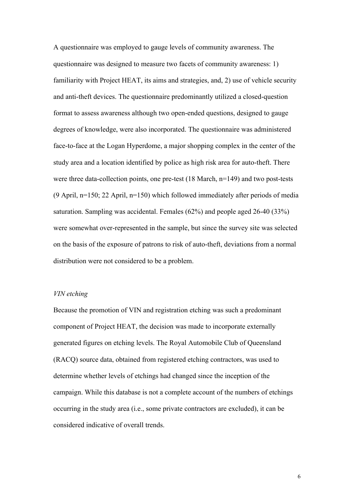A questionnaire was employed to gauge levels of community awareness. The questionnaire was designed to measure two facets of community awareness: 1) familiarity with Project HEAT, its aims and strategies, and, 2) use of vehicle security and anti-theft devices. The questionnaire predominantly utilized a closed-question format to assess awareness although two open-ended questions, designed to gauge degrees of knowledge, were also incorporated. The questionnaire was administered face-to-face at the Logan Hyperdome, a major shopping complex in the center of the study area and a location identified by police as high risk area for auto-theft. There were three data-collection points, one pre-test (18 March, n=149) and two post-tests (9 April, n=150; 22 April, n=150) which followed immediately after periods of media saturation. Sampling was accidental. Females (62%) and people aged 26-40 (33%) were somewhat over-represented in the sample, but since the survey site was selected on the basis of the exposure of patrons to risk of auto-theft, deviations from a normal distribution were not considered to be a problem.

# *VIN etching*

Because the promotion of VIN and registration etching was such a predominant component of Project HEAT, the decision was made to incorporate externally generated figures on etching levels. The Royal Automobile Club of Queensland (RACQ) source data, obtained from registered etching contractors, was used to determine whether levels of etchings had changed since the inception of the campaign. While this database is not a complete account of the numbers of etchings occurring in the study area (i.e., some private contractors are excluded), it can be considered indicative of overall trends.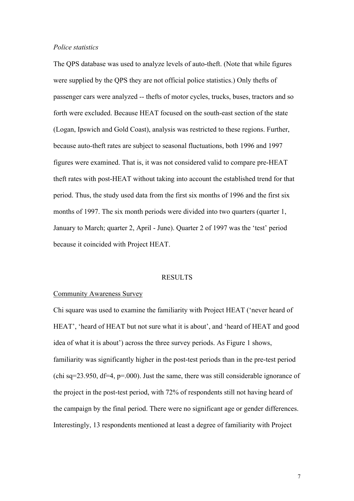### *Police statistics*

The QPS database was used to analyze levels of auto-theft. (Note that while figures were supplied by the QPS they are not official police statistics.) Only thefts of passenger cars were analyzed -- thefts of motor cycles, trucks, buses, tractors and so forth were excluded. Because HEAT focused on the south-east section of the state (Logan, Ipswich and Gold Coast), analysis was restricted to these regions. Further, because auto-theft rates are subject to seasonal fluctuations, both 1996 and 1997 figures were examined. That is, it was not considered valid to compare pre-HEAT theft rates with post-HEAT without taking into account the established trend for that period. Thus, the study used data from the first six months of 1996 and the first six months of 1997. The six month periods were divided into two quarters (quarter 1, January to March; quarter 2, April - June). Quarter 2 of 1997 was the 'test' period because it coincided with Project HEAT.

#### RESULTS

#### Community Awareness Survey

Chi square was used to examine the familiarity with Project HEAT ('never heard of HEAT', 'heard of HEAT but not sure what it is about', and 'heard of HEAT and good idea of what it is about') across the three survey periods. As Figure 1 shows, familiarity was significantly higher in the post-test periods than in the pre-test period (chi sq=23.950,  $df=4$ , p=.000). Just the same, there was still considerable ignorance of the project in the post-test period, with 72% of respondents still not having heard of the campaign by the final period. There were no significant age or gender differences. Interestingly, 13 respondents mentioned at least a degree of familiarity with Project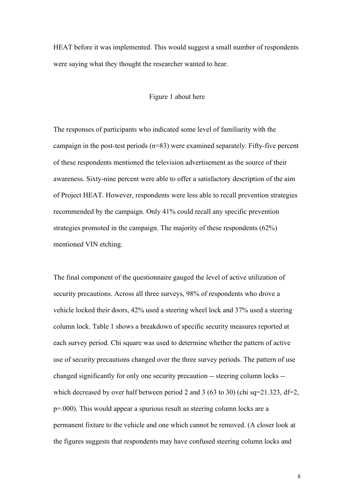HEAT before it was implemented. This would suggest a small number of respondents were saying what they thought the researcher wanted to hear.

## Figure 1 about here

The responses of participants who indicated some level of familiarity with the campaign in the post-test periods (n=83) were examined separately. Fifty-five percent of these respondents mentioned the television advertisement as the source of their awareness. Sixty-nine percent were able to offer a satisfactory description of the aim of Project HEAT. However, respondents were less able to recall prevention strategies recommended by the campaign. Only 41% could recall any specific prevention strategies promoted in the campaign. The majority of these respondents (62%) mentioned VIN etching.

The final component of the questionnaire gauged the level of active utilization of security precautions. Across all three surveys, 98% of respondents who drove a vehicle locked their doors, 42% used a steering wheel lock and 37% used a steering column lock. Table 1 shows a breakdown of specific security measures reported at each survey period. Chi square was used to determine whether the pattern of active use of security precautions changed over the three survey periods. The pattern of use changed significantly for only one security precaution -- steering column locks - which decreased by over half between period 2 and 3 (63 to 30) (chi sq=21.323, df=2, p=.000). This would appear a spurious result as steering column locks are a permanent fixture to the vehicle and one which cannot be removed. (A closer look at the figures suggests that respondents may have confused steering column locks and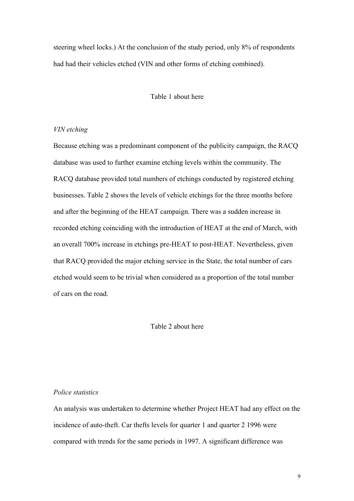steering wheel locks.) At the conclusion of the study period, only 8% of respondents had had their vehicles etched (VIN and other forms of etching combined).

# Table 1 about here

## *VIN etching*

Because etching was a predominant component of the publicity campaign, the RACQ database was used to further examine etching levels within the community. The RACQ database provided total numbers of etchings conducted by registered etching businesses. Table 2 shows the levels of vehicle etchings for the three months before and after the beginning of the HEAT campaign. There was a sudden increase in recorded etching coinciding with the introduction of HEAT at the end of March, with an overall 700% increase in etchings pre-HEAT to post-HEAT. Nevertheless, given that RACQ provided the major etching service in the State, the total number of cars etched would seem to be trivial when considered as a proportion of the total number of cars on the road.

# Table 2 about here

# *Police statistics*

An analysis was undertaken to determine whether Project HEAT had any effect on the incidence of auto-theft. Car thefts levels for quarter 1 and quarter 2 1996 were compared with trends for the same periods in 1997. A significant difference was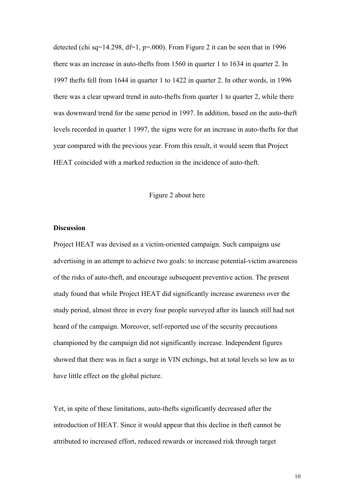detected (chi sq=14.298, df=1, p=.000). From Figure 2 it can be seen that in 1996 there was an increase in auto-thefts from 1560 in quarter 1 to 1634 in quarter 2. In 1997 thefts fell from 1644 in quarter 1 to 1422 in quarter 2. In other words, in 1996 there was a clear upward trend in auto-thefts from quarter 1 to quarter 2, while there was downward trend for the same period in 1997. In addition, based on the auto-theft levels recorded in quarter 1 1997, the signs were for an increase in auto-thefts for that year compared with the previous year. From this result, it would seem that Project HEAT coincided with a marked reduction in the incidence of auto-theft.

### Figure 2 about here

# **Discussion**

Project HEAT was devised as a victim-oriented campaign. Such campaigns use advertising in an attempt to achieve two goals: to increase potential-victim awareness of the risks of auto-theft, and encourage subsequent preventive action. The present study found that while Project HEAT did significantly increase awareness over the study period, almost three in every four people surveyed after its launch still had not heard of the campaign. Moreover, self-reported use of the security precautions championed by the campaign did not significantly increase. Independent figures showed that there was in fact a surge in VIN etchings, but at total levels so low as to have little effect on the global picture.

Yet, in spite of these limitations, auto-thefts significantly decreased after the introduction of HEAT. Since it would appear that this decline in theft cannot be attributed to increased effort, reduced rewards or increased risk through target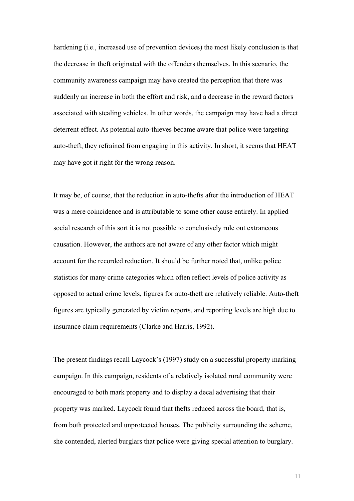hardening (i.e., increased use of prevention devices) the most likely conclusion is that the decrease in theft originated with the offenders themselves. In this scenario, the community awareness campaign may have created the perception that there was suddenly an increase in both the effort and risk, and a decrease in the reward factors associated with stealing vehicles. In other words, the campaign may have had a direct deterrent effect. As potential auto-thieves became aware that police were targeting auto-theft, they refrained from engaging in this activity. In short, it seems that HEAT may have got it right for the wrong reason.

It may be, of course, that the reduction in auto-thefts after the introduction of HEAT was a mere coincidence and is attributable to some other cause entirely. In applied social research of this sort it is not possible to conclusively rule out extraneous causation. However, the authors are not aware of any other factor which might account for the recorded reduction. It should be further noted that, unlike police statistics for many crime categories which often reflect levels of police activity as opposed to actual crime levels, figures for auto-theft are relatively reliable. Auto-theft figures are typically generated by victim reports, and reporting levels are high due to insurance claim requirements (Clarke and Harris, 1992).

The present findings recall Laycock's (1997) study on a successful property marking campaign. In this campaign, residents of a relatively isolated rural community were encouraged to both mark property and to display a decal advertising that their property was marked. Laycock found that thefts reduced across the board, that is, from both protected and unprotected houses. The publicity surrounding the scheme, she contended, alerted burglars that police were giving special attention to burglary.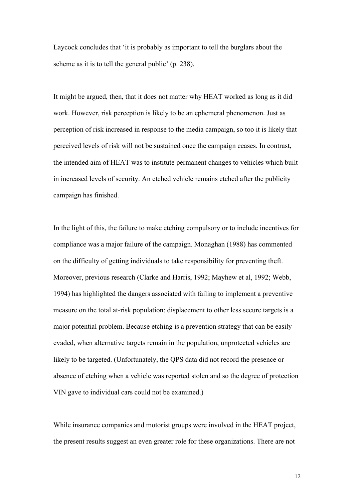Laycock concludes that 'it is probably as important to tell the burglars about the scheme as it is to tell the general public' (p. 238).

It might be argued, then, that it does not matter why HEAT worked as long as it did work. However, risk perception is likely to be an ephemeral phenomenon. Just as perception of risk increased in response to the media campaign, so too it is likely that perceived levels of risk will not be sustained once the campaign ceases. In contrast, the intended aim of HEAT was to institute permanent changes to vehicles which built in increased levels of security. An etched vehicle remains etched after the publicity campaign has finished.

In the light of this, the failure to make etching compulsory or to include incentives for compliance was a major failure of the campaign. Monaghan (1988) has commented on the difficulty of getting individuals to take responsibility for preventing theft. Moreover, previous research (Clarke and Harris, 1992; Mayhew et al, 1992; Webb, 1994) has highlighted the dangers associated with failing to implement a preventive measure on the total at-risk population: displacement to other less secure targets is a major potential problem. Because etching is a prevention strategy that can be easily evaded, when alternative targets remain in the population, unprotected vehicles are likely to be targeted. (Unfortunately, the QPS data did not record the presence or absence of etching when a vehicle was reported stolen and so the degree of protection VIN gave to individual cars could not be examined.)

While insurance companies and motorist groups were involved in the HEAT project, the present results suggest an even greater role for these organizations. There are not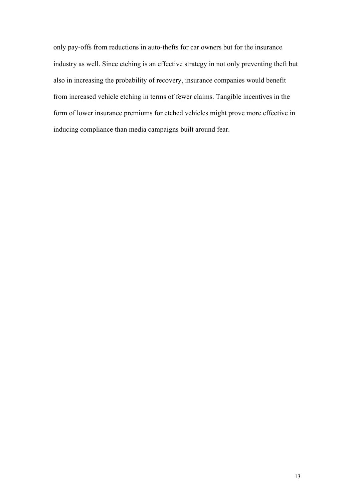only pay-offs from reductions in auto-thefts for car owners but for the insurance industry as well. Since etching is an effective strategy in not only preventing theft but also in increasing the probability of recovery, insurance companies would benefit from increased vehicle etching in terms of fewer claims. Tangible incentives in the form of lower insurance premiums for etched vehicles might prove more effective in inducing compliance than media campaigns built around fear.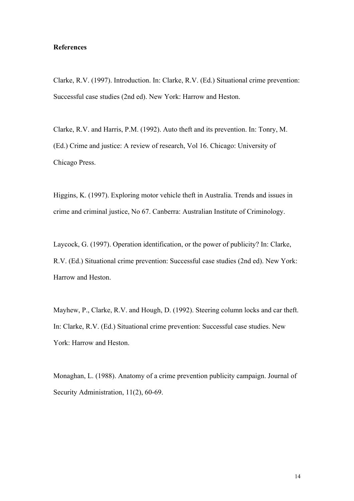# **References**

Clarke, R.V. (1997). Introduction. In: Clarke, R.V. (Ed.) Situational crime prevention: Successful case studies (2nd ed). New York: Harrow and Heston.

Clarke, R.V. and Harris, P.M. (1992). Auto theft and its prevention. In: Tonry, M. (Ed.) Crime and justice: A review of research, Vol 16. Chicago: University of Chicago Press.

Higgins, K. (1997). Exploring motor vehicle theft in Australia. Trends and issues in crime and criminal justice, No 67. Canberra: Australian Institute of Criminology.

Laycock, G. (1997). Operation identification, or the power of publicity? In: Clarke, R.V. (Ed.) Situational crime prevention: Successful case studies (2nd ed). New York: Harrow and Heston.

Mayhew, P., Clarke, R.V. and Hough, D. (1992). Steering column locks and car theft. In: Clarke, R.V. (Ed.) Situational crime prevention: Successful case studies. New York: Harrow and Heston.

Monaghan, L. (1988). Anatomy of a crime prevention publicity campaign. Journal of Security Administration, 11(2), 60-69.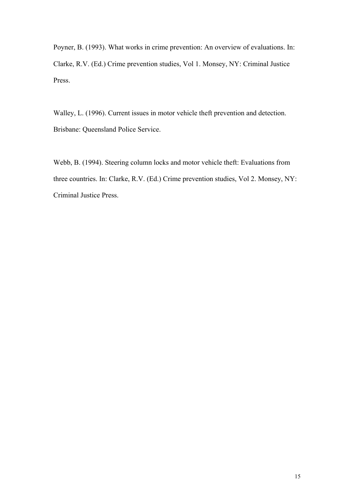Poyner, B. (1993). What works in crime prevention: An overview of evaluations. In: Clarke, R.V. (Ed.) Crime prevention studies, Vol 1. Monsey, NY: Criminal Justice Press.

Walley, L. (1996). Current issues in motor vehicle theft prevention and detection. Brisbane: Queensland Police Service.

Webb, B. (1994). Steering column locks and motor vehicle theft: Evaluations from three countries. In: Clarke, R.V. (Ed.) Crime prevention studies, Vol 2. Monsey, NY: Criminal Justice Press.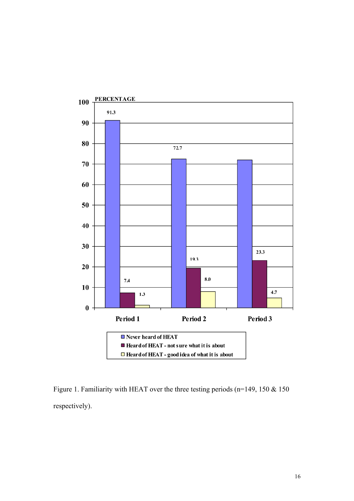

Figure 1. Familiarity with HEAT over the three testing periods (n=149, 150 & 150 respectively).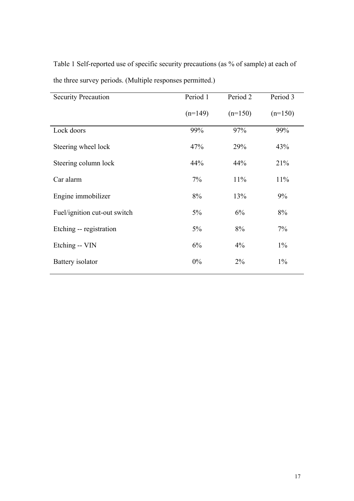Table 1 Self-reported use of specific security precautions (as % of sample) at each of the three survey periods. (Multiple responses permitted.)

| <b>Security Precaution</b>   | Period 1  | Period <sub>2</sub> | Period 3  |
|------------------------------|-----------|---------------------|-----------|
|                              | $(n=149)$ | $(n=150)$           | $(n=150)$ |
| Lock doors                   | 99%       | 97%                 | 99%       |
| Steering wheel lock          | 47%       | 29%                 | 43%       |
| Steering column lock         | 44%       | 44%                 | 21%       |
| Car alarm                    | 7%        | 11%                 | 11%       |
| Engine immobilizer           | 8%        | 13%                 | 9%        |
| Fuel/ignition cut-out switch | 5%        | 6%                  | 8%        |
| Etching -- registration      | 5%        | 8%                  | 7%        |
| Etching -- VIN               | 6%        | $4\%$               | $1\%$     |
| Battery isolator             | 0%        | $2\%$               | $1\%$     |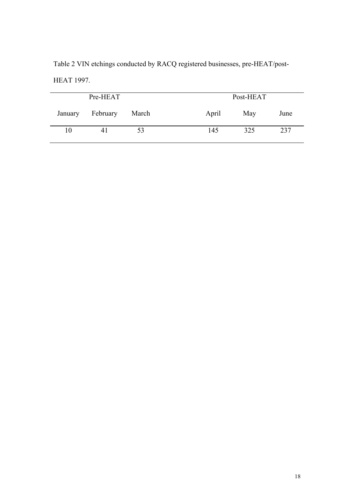Table 2 VIN etchings conducted by RACQ registered businesses, pre-HEAT/post-HEAT 1997.

| Pre-HEAT |          |       | Post-HEAT |     |      |
|----------|----------|-------|-----------|-----|------|
| January  | February | March | April     | May | June |
| 10       | 4 I      | 53    | 145       | 325 | 237  |